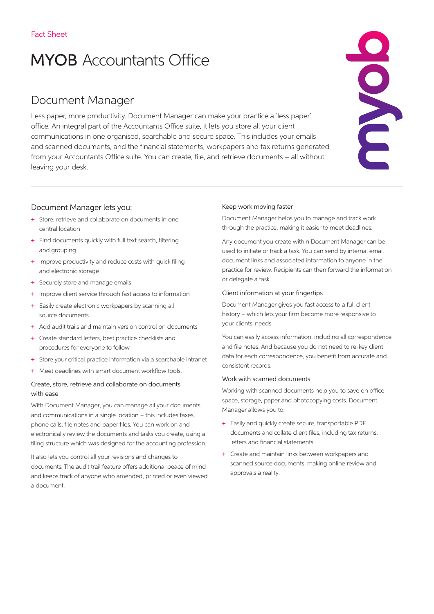# **MYOB** Accountants Office

# Document Manager

Less paper, more productivity. Document Manager can make your practice a 'less paper' office. An integral part of the Accountants Office suite, it lets you store all your client communications in one organised, searchable and secure space. This includes your emails and scanned documents, and the financial statements, workpapers and tax returns generated from your Accountants Office suite. You can create, file, and retrieve documents – all without leaving your desk.

# Document Manager lets you:

- + Store, retrieve and collaborate on documents in one central location
- + Find documents quickly with full text search, filtering and grouping
- + Improve productivity and reduce costs with quick filing and electronic storage
- + Securely store and manage emails
- + Improve client service through fast access to information
- + Easily create electronic workpapers by scanning all source documents
- + Add audit trails and maintain version control on documents
- + Create standard letters, best practice checklists and procedures for everyone to follow
- + Store your critical practice information via a searchable intranet
- + Meet deadlines with smart document workflow tools.

# Create, store, retrieve and collaborate on documents with ease

With Document Manager, you can manage all your documents and communications in a single location – this includes faxes, phone calls, file notes and paper files. You can work on and electronically review the documents and tasks you create, using a filing structure which was designed for the accounting profession.

It also lets you control all your revisions and changes to documents. The audit trail feature offers additional peace of mind and keeps track of anyone who amended, printed or even viewed a document.

#### Keep work moving faster

Document Manager helps you to manage and track work through the practice, making it easier to meet deadlines.

Any document you create within Document Manager can be used to initiate or track a task. You can send by internal email document links and associated information to anyone in the practice for review. Recipients can then forward the information or delegate a task.

#### Client information at your fingertips

Document Manager gives you fast access to a full client history – which lets your firm become more responsive to your clients' needs.

You can easily access information, including all correspondence and file notes. And because you do not need to re-key client data for each correspondence, you benefit from accurate and consistent records.

#### Work with scanned documents

Working with scanned documents help you to save on office space, storage, paper and photocopying costs. Document Manager allows you to:

- + Easily and quickly create secure, transportable PDF documents and collate client files, including tax returns, letters and financial statements.
- + Create and maintain links between workpapers and scanned source documents, making online review and approvals a reality.